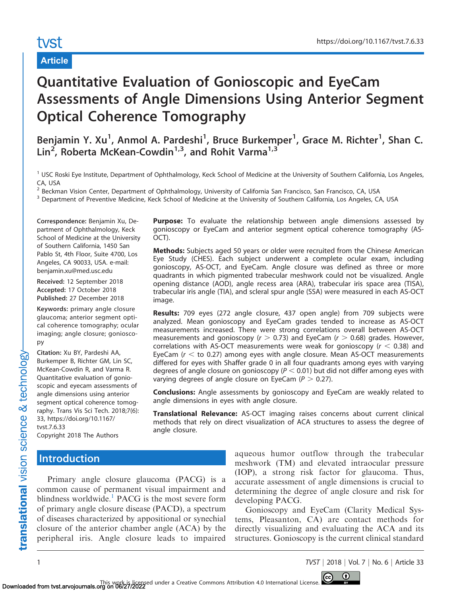# tyst

## Article

# Quantitative Evaluation of Gonioscopic and EyeCam Assessments of Angle Dimensions Using Anterior Segment Optical Coherence Tomography

Benjamin Y. Xu<sup>1</sup>, Anmol A. Pardeshi<sup>1</sup>, Bruce Burkemper<sup>1</sup>, Grace M. Richter<sup>1</sup>, Shan C. Lin<sup>2</sup>, Roberta McKean-Cowdin<sup>1,3</sup>, and Rohit Varma<sup>1,3</sup>

<sup>1</sup> USC Roski Eye Institute, Department of Ophthalmology, Keck School of Medicine at the University of Southern California, Los Angeles, CA, USA

<sup>2</sup> Beckman Vision Center, Department of Ophthalmology, University of California San Francisco, San Francisco, CA, USA

<sup>3</sup> Department of Preventive Medicine, Keck School of Medicine at the University of Southern California, Los Angeles, CA, USA

Correspondence: Benjamin Xu, Department of Ophthalmology, Keck School of Medicine at the University of Southern California, 1450 San Pablo St, 4th Floor, Suite 4700, Los Angeles, CA 90033, USA. e-mail: benjamin.xu@med.usc.edu

Received: 12 September 2018 Accepted: 17 October 2018 Published: 27 December 2018

Keywords: primary angle closure glaucoma; anterior segment optical coherence tomography; ocular imaging; angle closure; gonioscopy

Citation: Xu BY, Pardeshi AA, Burkemper B, Richter GM, Lin SC, McKean-Cowdin R, and Varma R. Quantitative evaluation of gonioscopic and eyecam assessments of angle dimensions using anterior segment optical coherence tomography. Trans Vis Sci Tech. 2018;7(6): 33, https://doi.org/10.1167/ tvst.7.6.33

**Purpose:** To evaluate the relationship between angle dimensions assessed by gonioscopy or EyeCam and anterior segment optical coherence tomography (AS-OCT).

**Methods:** Subjects aged 50 years or older were recruited from the Chinese American Eye Study (CHES). Each subject underwent a complete ocular exam, including gonioscopy, AS-OCT, and EyeCam. Angle closure was defined as three or more quadrants in which pigmented trabecular meshwork could not be visualized. Angle opening distance (AOD), angle recess area (ARA), trabecular iris space area (TISA), trabecular iris angle (TIA), and scleral spur angle (SSA) were measured in each AS-OCT image.

Results: 709 eyes (272 angle closure, 437 open angle) from 709 subjects were analyzed. Mean gonioscopy and EyeCam grades tended to increase as AS-OCT measurements increased. There were strong correlations overall between AS-OCT measurements and gonioscopy ( $r > 0.73$ ) and EyeCam ( $r > 0.68$ ) grades. However, correlations with AS-OCT measurements were weak for gonioscopy ( $r < 0.38$ ) and EyeCam ( $r <$  to 0.27) among eyes with angle closure. Mean AS-OCT measurements differed for eyes with Shaffer grade 0 in all four quadrants among eyes with varying degrees of angle closure on gonioscopy ( $P < 0.01$ ) but did not differ among eyes with varying degrees of angle closure on EyeCam ( $P > 0.27$ ).

**Conclusions:** Angle assessments by gonioscopy and EyeCam are weakly related to angle dimensions in eyes with angle closure.

Translational Relevance: AS-OCT imaging raises concerns about current clinical methods that rely on direct visualization of ACA structures to assess the degree of angle closure.

Copyright 2018 The Authors

# **Introduction**

Primary angle closure glaucoma (PACG) is a common cause of permanent visual impairment and blindness worldwide.<sup>[1](#page-7-0)</sup> PACG is the most severe form of primary angle closure disease (PACD), a spectrum of diseases characterized by appositional or synechial closure of the anterior chamber angle (ACA) by the peripheral iris. Angle closure leads to impaired

aqueous humor outflow through the trabecular meshwork (TM) and elevated intraocular pressure (IOP), a strong risk factor for glaucoma. Thus, accurate assessment of angle dimensions is crucial to determining the degree of angle closure and risk for developing PACG.

Gonioscopy and EyeCam (Clarity Medical Systems, Pleasanton, CA) are contact methods for directly visualizing and evaluating the ACA and its structures. Gonioscopy is the current clinical standard

1 TVST j 2018 j Vol. 7 j No. 6 j Article 33

 $\odot$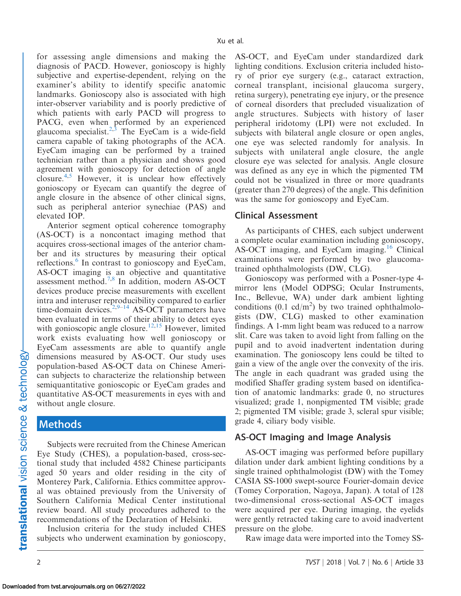for assessing angle dimensions and making the diagnosis of PACD. However, gonioscopy is highly subjective and expertise-dependent, relying on the examiner's ability to identify specific anatomic landmarks. Gonioscopy also is associated with high inter-observer variability and is poorly predictive of which patients with early PACD will progress to PACG, even when performed by an experienced glaucoma specialist.<sup>[2,3](#page-7-0)</sup> The EyeCam is a wide-field camera capable of taking photographs of the ACA. EyeCam imaging can be performed by a trained technician rather than a physician and shows good agreement with gonioscopy for detection of angle closure.<sup>[4,5](#page-7-0)</sup> However, it is unclear how effectively gonioscopy or Eyecam can quantify the degree of angle closure in the absence of other clinical signs, such as peripheral anterior synechiae (PAS) and elevated IOP.

Anterior segment optical coherence tomography (AS-OCT) is a noncontact imaging method that acquires cross-sectional images of the anterior chamber and its structures by measuring their optical reflections.<sup>[6](#page-7-0)</sup> In contrast to gonioscopy and EyeCam, AS-OCT imaging is an objective and quantitative assessment method[.7](#page-7-0),[8](#page-7-0) In addition, modern AS-OCT devices produce precise measurements with excellent intra and interuser reproducibility compared to earlier time-domain devices.<sup>[2,9–14](#page-7-0)</sup> AS-OCT parameters have been evaluated in terms of their ability to detect eyes with gonioscopic angle closure.<sup>[12,15](#page-7-0)</sup> However, limited work exists evaluating how well gonioscopy or EyeCam assessments are able to quantify angle dimensions measured by AS-OCT. Our study uses population-based AS-OCT data on Chinese American subjects to characterize the relationship between semiquantitative gonioscopic or EyeCam grades and quantitative AS-OCT measurements in eyes with and without angle closure.

## Methods

Subjects were recruited from the Chinese American Eye Study (CHES), a population-based, cross-sectional study that included 4582 Chinese participants aged 50 years and older residing in the city of Monterey Park, California. Ethics committee approval was obtained previously from the University of Southern California Medical Center institutional review board. All study procedures adhered to the recommendations of the Declaration of Helsinki.

Inclusion criteria for the study included CHES subjects who underwent examination by gonioscopy, AS-OCT, and EyeCam under standardized dark lighting conditions. Exclusion criteria included history of prior eye surgery (e.g., cataract extraction, corneal transplant, incisional glaucoma surgery, retina surgery), penetrating eye injury, or the presence of corneal disorders that precluded visualization of angle structures. Subjects with history of laser peripheral iridotomy (LPI) were not excluded. In subjects with bilateral angle closure or open angles, one eye was selected randomly for analysis. In subjects with unilateral angle closure, the angle closure eye was selected for analysis. Angle closure was defined as any eye in which the pigmented TM could not be visualized in three or more quadrants (greater than 270 degrees) of the angle. This definition was the same for gonioscopy and EyeCam.

#### Clinical Assessment

As participants of CHES, each subject underwent a complete ocular examination including gonioscopy, AS-OCT imaging, and EyeCam imaging.<sup>16</sup> Clinical examinations were performed by two glaucomatrained ophthalmologists (DW, CLG).

Gonioscopy was performed with a Posner-type 4 mirror lens (Model ODPSG; Ocular Instruments, Inc., Bellevue, WA) under dark ambient lighting conditions  $(0.1 \text{ cd/m}^2)$  by two trained ophthalmologists (DW, CLG) masked to other examination findings. A 1-mm light beam was reduced to a narrow slit. Care was taken to avoid light from falling on the pupil and to avoid inadvertent indentation during examination. The gonioscopy lens could be tilted to gain a view of the angle over the convexity of the iris. The angle in each quadrant was graded using the modified Shaffer grading system based on identification of anatomic landmarks: grade 0, no structures visualized; grade 1, nonpigmented TM visible; grade 2; pigmented TM visible; grade 3, scleral spur visible; grade 4, ciliary body visible.

# AS-OCT Imaging and Image Analysis

AS-OCT imaging was performed before pupillary dilation under dark ambient lighting conditions by a single trained ophthalmologist (DW) with the Tomey CASIA SS-1000 swept-source Fourier-domain device (Tomey Corporation, Nagoya, Japan). A total of 128 two-dimensional cross-sectional AS-OCT images were acquired per eye. During imaging, the eyelids were gently retracted taking care to avoid inadvertent pressure on the globe.

Raw image data were imported into the Tomey SS-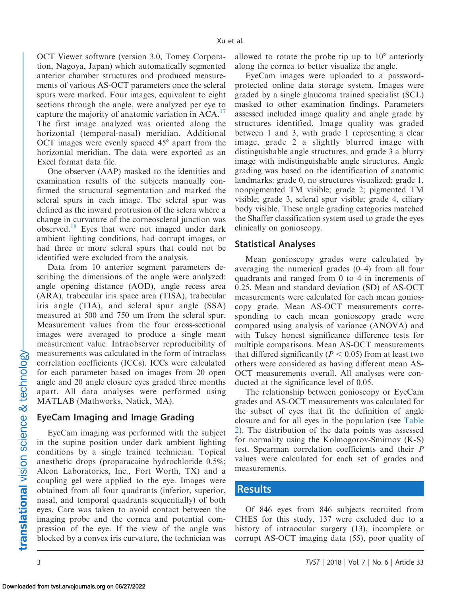OCT Viewer software (version 3.0, Tomey Corporation, Nagoya, Japan) which automatically segmented anterior chamber structures and produced measurements of various AS-OCT parameters once the scleral spurs were marked. Four images, equivalent to eight sections through the angle, were analyzed per eye to capture the majority of anatomic variation in  $ACA$ .<sup>[17](#page-7-0)</sup> The first image analyzed was oriented along the horizontal (temporal-nasal) meridian. Additional OCT images were evenly spaced  $45^{\circ}$  apart from the horizontal meridian. The data were exported as an Excel format data file.

One observer (AAP) masked to the identities and examination results of the subjects manually confirmed the structural segmentation and marked the scleral spurs in each image. The scleral spur was defined as the inward protrusion of the sclera where a change in curvature of the corneoscleral junction was observed.<sup>[18](#page-7-0)</sup> Eyes that were not imaged under dark ambient lighting conditions, had corrupt images, or had three or more scleral spurs that could not be identified were excluded from the analysis.

Data from 10 anterior segment parameters describing the dimensions of the angle were analyzed: angle opening distance (AOD), angle recess area (ARA), trabecular iris space area (TISA), trabecular iris angle (TIA), and scleral spur angle (SSA) measured at 500 and 750 um from the scleral spur. Measurement values from the four cross-sectional images were averaged to produce a single mean measurement value. Intraobserver reproducibility of measurements was calculated in the form of intraclass correlation coefficients (ICCs). ICCs were calculated for each parameter based on images from 20 open angle and 20 angle closure eyes graded three months apart. All data analyses were performed using MATLAB (Mathworks, Natick, MA).

#### EyeCam Imaging and Image Grading

EyeCam imaging was performed with the subject in the supine position under dark ambient lighting conditions by a single trained technician. Topical anesthetic drops (proparacaine hydrochloride 0.5%; Alcon Laboratories, Inc., Fort Worth, TX) and a coupling gel were applied to the eye. Images were obtained from all four quadrants (inferior, superior, nasal, and temporal quadrants sequentially) of both eyes. Care was taken to avoid contact between the imaging probe and the cornea and potential compression of the eye. If the view of the angle was blocked by a convex iris curvature, the technician was

allowed to rotate the probe tip up to  $10^{\circ}$  anteriorly along the cornea to better visualize the angle.

EyeCam images were uploaded to a passwordprotected online data storage system. Images were graded by a single glaucoma trained specialist (SCL) masked to other examination findings. Parameters assessed included image quality and angle grade by structures identified. Image quality was graded between 1 and 3, with grade 1 representing a clear image, grade 2 a slightly blurred image with distinguishable angle structures, and grade 3 a blurry image with indistinguishable angle structures. Angle grading was based on the identification of anatomic landmarks: grade 0, no structures visualized; grade 1, nonpigmented TM visible; grade 2; pigmented TM visible; grade 3, scleral spur visible; grade 4, ciliary body visible. These angle grading categories matched the Shaffer classification system used to grade the eyes clinically on gonioscopy.

#### Statistical Analyses

Mean gonioscopy grades were calculated by averaging the numerical grades (0–4) from all four quadrants and ranged from 0 to 4 in increments of 0.25. Mean and standard deviation (SD) of AS-OCT measurements were calculated for each mean gonioscopy grade. Mean AS-OCT measurements corresponding to each mean gonioscopy grade were compared using analysis of variance (ANOVA) and with Tukey honest significance difference tests for multiple comparisons. Mean AS-OCT measurements that differed significantly ( $P < 0.05$ ) from at least two others were considered as having different mean AS-OCT measurements overall. All analyses were conducted at the significance level of 0.05.

The relationship between gonioscopy or EyeCam grades and AS-OCT measurements was calculated for the subset of eyes that fit the definition of angle closure and for all eyes in the population (see [Table](#page-3-0) [2\)](#page-3-0). The distribution of the data points was assessed for normality using the Kolmogorov-Smirnov (K-S) test. Spearman correlation coefficients and their P values were calculated for each set of grades and measurements.

## Results

Of 846 eyes from 846 subjects recruited from CHES for this study, 137 were excluded due to a history of intraocular surgery (13), incomplete or corrupt AS-OCT imaging data (55), poor quality of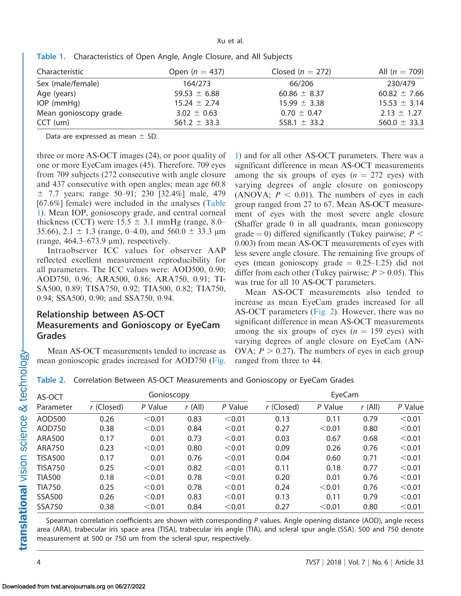| Characteristic        | Open $(n = 437)$ | Closed ( $n = 272$ ) | All $(n = 709)$  |  |
|-----------------------|------------------|----------------------|------------------|--|
| Sex (male/female)     | 164/273          | 66/206               | 230/479          |  |
| Age (years)           | 59.53 $\pm$ 6.88 | 60.86 $\pm$ 8.37     | $60.82 \pm 7.66$ |  |
| $IOP$ (mm $Hq$ )      | $15.24 \pm 2.74$ | $15.99 \pm 3.38$     | $15.53 \pm 3.14$ |  |
| Mean gonioscopy grade | $3.02 \pm 0.63$  | $0.70 \pm 0.47$      | $2.13 \pm 1.27$  |  |
| $CCT$ (um)            | $561.2 \pm 33.3$ | 558.1 $\pm$ 33.2     | $560.0 \pm 33.3$ |  |

<span id="page-3-0"></span>Table 1. Characteristics of Open Angle, Angle Closure, and All Subjects

Data are expressed as mean  $\pm$  SD.

three or more AS-OCT images (24), or poor quality of one or more EyeCam images (45). Therefore, 709 eyes from 709 subjects (272 consecutive with angle closure and 437 consecutive with open angles; mean age 60.8  $\pm$  7.7 years; range 50–91; 230 [32.4%] male, 479 [67.6%] female) were included in the analyses (Table 1). Mean IOP, gonioscopy grade, and central corneal thickness (CCT) were  $15.5 \pm 3.1$  mmHg (range, 8.0– 35.66), 2.1  $\pm$  1.3 (range, 0–4.0), and 560.0  $\pm$  33.3 µm (range,  $464.3-673.9 \mu m$ ), respectively.

Intraobserver ICC values for observer AAP reflected excellent measurement reproducibility for all parameters. The ICC values were: AOD500, 0.90; AOD750, 0.96; ARA500, 0.86; ARA750, 0.91; TI-SA500, 0.89; TISA750, 0.92; TIA500, 0.82; TIA750, 0.94; SSA500, 0.90; and SSA750, 0.94.

### Relationship between AS-OCT Measurements and Gonioscopy or EyeCam Grades

Mean AS-OCT measurements tended to increase as mean gonioscopic grades increased for AOD750 ([Fig.](#page-4-0)

[1](#page-4-0)) and for all other AS-OCT parameters. There was a significant difference in mean AS-OCT measurements among the six groups of eyes  $(n = 272 \text{ eyes})$  with varying degrees of angle closure on gonioscopy (ANOVA;  $P < 0.01$ ). The numbers of eyes in each group ranged from 27 to 67. Mean AS-OCT measurement of eyes with the most severe angle closure (Shaffer grade 0 in all quadrants, mean gonioscopy grade  $= 0$ ) differed significantly (Tukey pairwise; P  $\leq$ 0.003) from mean AS-OCT measurements of eyes with less severe angle closure. The remaining five groups of eyes (mean gonioscopy grade  $= 0.25-1.25$ ) did not differ from each other (Tukey pairwise;  $P > 0.05$ ). This was true for all 10 AS-OCT parameters.

Mean AS-OCT measurements also tended to increase as mean EyeCam grades increased for all AS-OCT parameters [\(Fig. 2\)](#page-5-0). However, there was no significant difference in mean AS-OCT measurements among the six groups of eyes ( $n = 159$  eyes) with varying degrees of angle closure on EyeCam (AN-OVA;  $P > 0.27$ ). The numbers of eyes in each group ranged from three to 44.

Table 2. Correlation Between AS-OCT Measurements and Gonioscopy or EyeCam Grades

| AS-OCT         | Gonioscopy   |         |           | EyeCam  |              |           |           |         |
|----------------|--------------|---------|-----------|---------|--------------|-----------|-----------|---------|
| Parameter      | $r$ (Closed) | P Value | $r$ (All) | P Value | $r$ (Closed) | $P$ Value | $r$ (All) | P Value |
| AOD500         | 0.26         | < 0.01  | 0.83      | < 0.01  | 0.13         | 0.11      | 0.79      | < 0.01  |
| AOD750         | 0.38         | < 0.01  | 0.84      | < 0.01  | 0.27         | < 0.01    | 0.80      | < 0.01  |
| ARA500         | 0.17         | 0.01    | 0.73      | < 0.01  | 0.03         | 0.67      | 0.68      | < 0.01  |
| ARA750         | 0.23         | < 0.01  | 0.80      | < 0.01  | 0.09         | 0.26      | 0.76      | < 0.01  |
| <b>TISA500</b> | 0.17         | 0.01    | 0.76      | < 0.01  | 0.04         | 0.60      | 0.71      | < 0.01  |
| <b>TISA750</b> | 0.25         | < 0.01  | 0.82      | < 0.01  | 0.11         | 0.18      | 0.77      | < 0.01  |
| <b>TIA500</b>  | 0.18         | < 0.01  | 0.78      | < 0.01  | 0.20         | 0.01      | 0.76      | < 0.01  |
| <b>TIA750</b>  | 0.25         | < 0.01  | 0.78      | < 0.01  | 0.24         | < 0.01    | 0.76      | < 0.01  |
| <b>SSA500</b>  | 0.26         | < 0.01  | 0.83      | < 0.01  | 0.13         | 0.11      | 0.79      | < 0.01  |
| <b>SSA750</b>  | 0.38         | < 0.01  | 0.84      | < 0.01  | 0.27         | < 0.01    | 0.80      | < 0.01  |

Spearman correlation coefficients are shown with corresponding  $P$  values. Angle opening distance (AOD), angle recess area (ARA), trabecular iris space area (TISA), trabecular iris angle (TIA), and scleral spur angle (SSA). 500 and 750 denote measurement at 500 or 750 um from the scleral spur, respectively.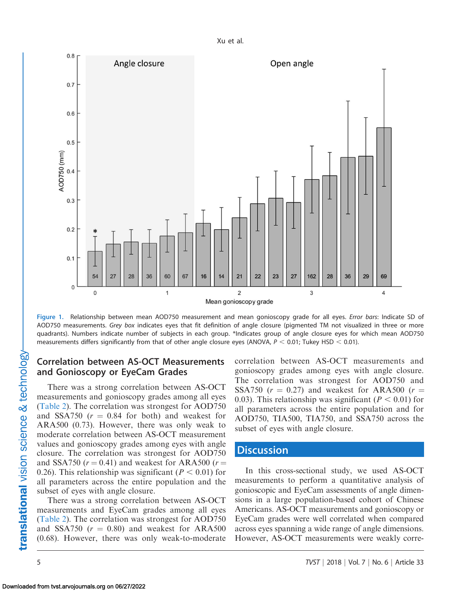

<span id="page-4-0"></span>

Figure 1. Relationship between mean AOD750 measurement and mean gonioscopy grade for all eyes. Error bars: Indicate SD of AOD750 measurements. Grey box indicates eyes that fit definition of angle closure (pigmented TM not visualized in three or more quadrants). Numbers indicate number of subjects in each group. \*Indicates group of angle closure eyes for which mean AOD750 measurements differs significantly from that of other angle closure eyes (ANOVA,  $P < 0.01$ ; Tukey HSD  $< 0.01$ ).

## Correlation between AS-OCT Measurements and Gonioscopy or EyeCam Grades

There was a strong correlation between AS-OCT measurements and gonioscopy grades among all eyes ([Table 2](#page-3-0)). The correlation was strongest for AOD750 and SSA750  $(r = 0.84$  for both) and weakest for ARA500 (0.73). However, there was only weak to moderate correlation between AS-OCT measurement values and gonioscopy grades among eyes with angle closure. The correlation was strongest for AOD750 and SSA750 ( $r = 0.41$ ) and weakest for ARA500 ( $r =$ 0.26). This relationship was significant ( $P < 0.01$ ) for all parameters across the entire population and the subset of eyes with angle closure.

There was a strong correlation between AS-OCT measurements and EyeCam grades among all eyes ([Table 2](#page-3-0)). The correlation was strongest for AOD750 and SSA750  $(r = 0.80)$  and weakest for ARA500 (0.68). However, there was only weak-to-moderate

correlation between AS-OCT measurements and gonioscopy grades among eyes with angle closure. The correlation was strongest for AOD750 and SSA750 ( $r = 0.27$ ) and weakest for ARA500 ( $r =$ 0.03). This relationship was significant ( $P < 0.01$ ) for all parameters across the entire population and for AOD750, TIA500, TIA750, and SSA750 across the subset of eyes with angle closure.

# **Discussion**

In this cross-sectional study, we used AS-OCT measurements to perform a quantitative analysis of gonioscopic and EyeCam assessments of angle dimensions in a large population-based cohort of Chinese Americans. AS-OCT measurements and gonioscopy or EyeCam grades were well correlated when compared across eyes spanning a wide range of angle dimensions. However, AS-OCT measurements were weakly corre-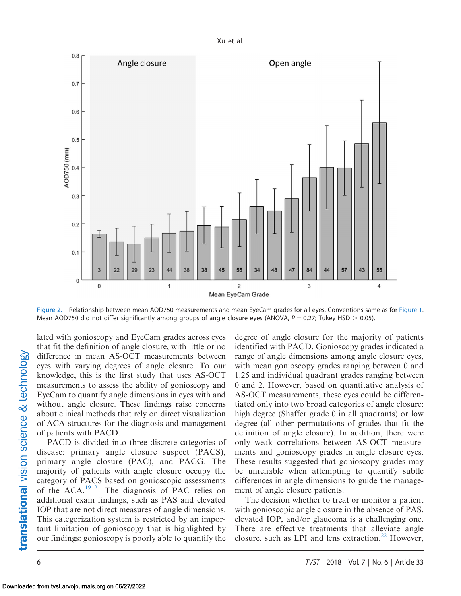

<span id="page-5-0"></span>

Figure 2. Relationship between mean AOD750 measurements and mean EyeCam grades for all eyes. Conventions same as for [Figure 1](#page-4-0). Mean AOD750 did not differ significantly among groups of angle closure eyes (ANOVA,  $P = 0.27$ ; Tukey HSD  $> 0.05$ ).

lated with gonioscopy and EyeCam grades across eyes that fit the definition of angle closure, with little or no difference in mean AS-OCT measurements between eyes with varying degrees of angle closure. To our knowledge, this is the first study that uses AS-OCT measurements to assess the ability of gonioscopy and EyeCam to quantify angle dimensions in eyes with and without angle closure. These findings raise concerns about clinical methods that rely on direct visualization of ACA structures for the diagnosis and management of patients with PACD.

PACD is divided into three discrete categories of disease: primary angle closure suspect (PACS), primary angle closure (PAC), and PACG. The majority of patients with angle closure occupy the category of PACS based on gonioscopic assessments of the  $ACA$ .<sup>[19](#page-7-0)[–21](#page-8-0)</sup> The diagnosis of PAC relies on additional exam findings, such as PAS and elevated IOP that are not direct measures of angle dimensions. This categorization system is restricted by an important limitation of gonioscopy that is highlighted by our findings: gonioscopy is poorly able to quantify the

degree of angle closure for the majority of patients identified with PACD. Gonioscopy grades indicated a range of angle dimensions among angle closure eyes, with mean gonioscopy grades ranging between 0 and 1.25 and individual quadrant grades ranging between 0 and 2. However, based on quantitative analysis of AS-OCT measurements, these eyes could be differentiated only into two broad categories of angle closure: high degree (Shaffer grade 0 in all quadrants) or low degree (all other permutations of grades that fit the definition of angle closure). In addition, there were only weak correlations between AS-OCT measurements and gonioscopy grades in angle closure eyes. These results suggested that gonioscopy grades may be unreliable when attempting to quantify subtle differences in angle dimensions to guide the management of angle closure patients.

The decision whether to treat or monitor a patient with gonioscopic angle closure in the absence of PAS, elevated IOP, and/or glaucoma is a challenging one. There are effective treatments that alleviate angle closure, such as LPI and lens extraction.<sup>[22](#page-8-0)</sup> However,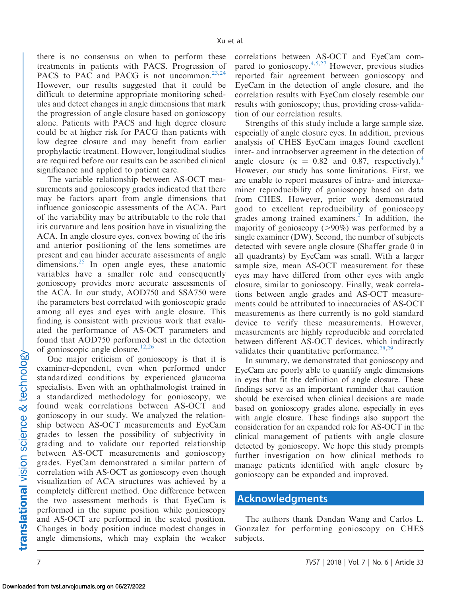there is no consensus on when to perform these treatments in patients with PACS. Progression of PACS to PAC and PACG is not uncommon.<sup>23,24</sup> However, our results suggested that it could be difficult to determine appropriate monitoring schedules and detect changes in angle dimensions that mark the progression of angle closure based on gonioscopy alone. Patients with PACS and high degree closure could be at higher risk for PACG than patients with low degree closure and may benefit from earlier prophylactic treatment. However, longitudinal studies are required before our results can be ascribed clinical significance and applied to patient care.

The variable relationship between AS-OCT measurements and gonioscopy grades indicated that there may be factors apart from angle dimensions that influence gonioscopic assessments of the ACA. Part of the variability may be attributable to the role that iris curvature and lens position have in visualizing the ACA. In angle closure eyes, convex bowing of the iris and anterior positioning of the lens sometimes are present and can hinder accurate assessments of angle dimensions. $^{25}$  In open angle eyes, these anatomic variables have a smaller role and consequently gonioscopy provides more accurate assessments of the ACA. In our study, AOD750 and SSA750 were the parameters best correlated with gonioscopic grade among all eyes and eyes with angle closure. This finding is consistent with previous work that evaluated the performance of AS-OCT parameters and found that AOD750 performed best in the detection of gonioscopic angle closure.<sup>[12](#page-7-0)[,26](#page-8-0)</sup>

One major criticism of gonioscopy is that it is examiner-dependent, even when performed under standardized conditions by experienced glaucoma specialists. Even with an ophthalmologist trained in a standardized methodology for gonioscopy, we found weak correlations between AS-OCT and gonioscopy in our study. We analyzed the relationship between AS-OCT measurements and EyeCam grades to lessen the possibility of subjectivity in grading and to validate our reported relationship between AS-OCT measurements and gonioscopy grades. EyeCam demonstrated a similar pattern of correlation with AS-OCT as gonioscopy even though visualization of ACA structures was achieved by a completely different method. One difference between the two assessment methods is that EyeCam is performed in the supine position while gonioscopy and AS-OCT are performed in the seated position. Changes in body position induce modest changes in angle dimensions, which may explain the weaker

correlations between AS-OCT and EyeCam compared to gonioscopy. $4,5,27$  $4,5,27$  However, previous studies reported fair agreement between gonioscopy and EyeCam in the detection of angle closure, and the correlation results with EyeCam closely resemble our results with gonioscopy; thus, providing cross-validation of our correlation results.

Strengths of this study include a large sample size, especially of angle closure eyes. In addition, previous analysis of CHES EyeCam images found excellent inter- and intraobserver agreement in the detection of angle closure ( $\kappa = 0.82$  and 0.87, respectively).<sup>[4](#page-7-0)</sup> However, our study has some limitations. First, we are unable to report measures of intra- and interexaminer reproducibility of gonioscopy based on data from CHES. However, prior work demonstrated good to excellent reproducibility of gonioscopy grades among trained examiners. $^{2}$  $^{2}$  $^{2}$  In addition, the majority of gonioscopy  $(>\!\!90\%)$  was performed by a single examiner (DW). Second, the number of subjects detected with severe angle closure (Shaffer grade 0 in all quadrants) by EyeCam was small. With a larger sample size, mean AS-OCT measurement for these eyes may have differed from other eyes with angle closure, similar to gonioscopy. Finally, weak correlations between angle grades and AS-OCT measurements could be attributed to inaccuracies of AS-OCT measurements as there currently is no gold standard device to verify these measurements. However, measurements are highly reproducible and correlated between different AS-OCT devices, which indirectly validates their quantitative performance.<sup>[28,29](#page-8-0)</sup>

In summary, we demonstrated that gonioscopy and EyeCam are poorly able to quantify angle dimensions in eyes that fit the definition of angle closure. These findings serve as an important reminder that caution should be exercised when clinical decisions are made based on gonioscopy grades alone, especially in eyes with angle closure. These findings also support the consideration for an expanded role for AS-OCT in the clinical management of patients with angle closure detected by gonioscopy. We hope this study prompts further investigation on how clinical methods to manage patients identified with angle closure by gonioscopy can be expanded and improved.

#### Acknowledgments

The authors thank Dandan Wang and Carlos L. Gonzalez for performing gonioscopy on CHES subjects.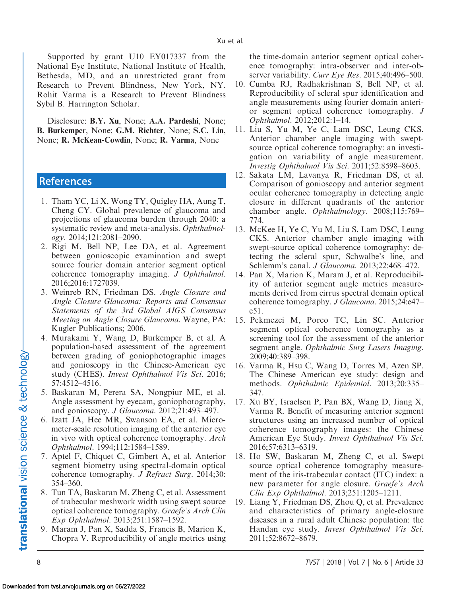<span id="page-7-0"></span>Supported by grant U10 EY017337 from the National Eye Institute, National Institute of Health, Bethesda, MD, and an unrestricted grant from Research to Prevent Blindness, New York, NY. Rohit Varma is a Research to Prevent Blindness Sybil B. Harrington Scholar.

Disclosure: B.Y. Xu, None; A.A. Pardeshi, None; B. Burkemper, None; G.M. Richter, None; S.C. Lin, None; R. McKean-Cowdin, None; R. Varma, None

# **References**

- 1. Tham YC, Li X, Wong TY, Quigley HA, Aung T, Cheng CY. Global prevalence of glaucoma and projections of glaucoma burden through 2040: a systematic review and meta-analysis. Ophthalmology. 2014;121:2081–2090.
- 2. Rigi M, Bell NP, Lee DA, et al. Agreement between gonioscopic examination and swept source fourier domain anterior segment optical coherence tomography imaging. J Ophthalmol. 2016;2016:1727039.
- 3. Weinreb RN, Friedman DS. Angle Closure and Angle Closure Glaucoma: Reports and Consensus Statements of the 3rd Global AIGS Consensus Meeting on Angle Closure Glaucoma. Wayne, PA: Kugler Publications; 2006.
- 4. Murakami Y, Wang D, Burkemper B, et al. A population-based assessment of the agreement between grading of goniophotographic images and gonioscopy in the Chinese-American eye study (CHES). Invest Ophthalmol Vis Sci. 2016; 57:4512–4516.
- 5. Baskaran M, Perera SA, Nongpiur ME, et al. Angle assessment by eyecam, goniophotography, and gonioscopy. J Glaucoma. 2012;21:493–497.
- 6. Izatt JA, Hee MR, Swanson EA, et al. Micrometer-scale resolution imaging of the anterior eye in vivo with optical coherence tomography. Arch Ophthalmol. 1994;112:1584–1589.
- 7. Aptel F, Chiquet C, Gimbert A, et al. Anterior segment biometry using spectral-domain optical coherence tomography. J Refract Surg. 2014;30: 354–360.
- 8. Tun TA, Baskaran M, Zheng C, et al. Assessment of trabecular meshwork width using swept source optical coherence tomography. Graefe's Arch Clin Exp Ophthalmol. 2013;251:1587–1592.
- 9. Maram J, Pan X, Sadda S, Francis B, Marion K, Chopra V. Reproducibility of angle metrics using

the time-domain anterior segment optical coherence tomography: intra-observer and inter-observer variability. Curr Eye Res. 2015;40:496-500.

- 10. Cumba RJ, Radhakrishnan S, Bell NP, et al. Reproducibility of scleral spur identification and angle measurements using fourier domain anterior segment optical coherence tomography. J Ophthalmol. 2012;2012:1–14.
- 11. Liu S, Yu M, Ye C, Lam DSC, Leung CKS. Anterior chamber angle imaging with sweptsource optical coherence tomography: an investigation on variability of angle measurement. Investig Ophthalmol Vis Sci. 2011;52:8598–8603.
- 12. Sakata LM, Lavanya R, Friedman DS, et al. Comparison of gonioscopy and anterior segment ocular coherence tomography in detecting angle closure in different quadrants of the anterior chamber angle. Ophthalmology. 2008;115:769– 774.
- 13. McKee H, Ye C, Yu M, Liu S, Lam DSC, Leung CKS. Anterior chamber angle imaging with swept-source optical coherence tomography: detecting the scleral spur, Schwalbe's line, and Schlemm's canal. J Glaucoma. 2013;22:468–472.
- 14. Pan X, Marion K, Maram J, et al. Reproducibility of anterior segment angle metrics measurements derived from cirrus spectral domain optical coherence tomography. J Glaucoma. 2015;24:e47– e51.
- 15. Pekmezci M, Porco TC, Lin SC. Anterior segment optical coherence tomography as a screening tool for the assessment of the anterior segment angle. Ophthalmic Surg Lasers Imaging. 2009;40:389–398.
- 16. Varma R, Hsu C, Wang D, Torres M, Azen SP. The Chinese American eye study: design and methods. Ophthalmic Epidemiol. 2013;20:335– 347.
- 17. Xu BY, Israelsen P, Pan BX, Wang D, Jiang X, Varma R. Benefit of measuring anterior segment structures using an increased number of optical coherence tomography images: the Chinese American Eye Study. Invest Ophthalmol Vis Sci. 2016;57:6313–6319.
- 18. Ho SW, Baskaran M, Zheng C, et al. Swept source optical coherence tomography measurement of the iris-trabecular contact (ITC) index: a new parameter for angle closure. Graefe's Arch Clin Exp Ophthalmol. 2013;251:1205–1211.
- 19. Liang Y, Friedman DS, Zhou Q, et al. Prevalence and characteristics of primary angle-closure diseases in a rural adult Chinese population: the Handan eye study. Invest Ophthalmol Vis Sci. 2011;52:8672–8679.